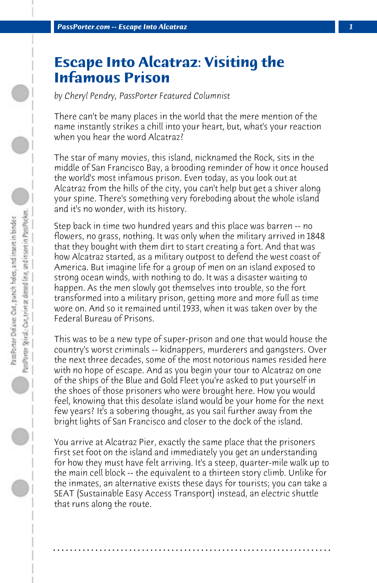## **Escape Into Alcatraz: Visiting the Infamous Prison**

*by Cheryl Pendry, PassPorter Featured Columnist*

There can't be many places in the world that the mere mention of the name instantly strikes a chill into your heart, but, what's your reaction when you hear the word Alcatraz?

The star of many movies, this island, nicknamed the Rock, sits in the middle of San Francisco Bay, a brooding reminder of how it once housed the world's most infamous prison. Even today, as you look out at Alcatraz from the hills of the city, you can't help but get a shiver along your spine. There's something very foreboding about the whole island and it's no wonder, with its history.

Step back in time two hundred years and this place was barren -- no flowers, no grass, nothing. It was only when the military arrived in 1848 that they bought with them dirt to start creating a fort. And that was how Alcatraz started, as a military outpost to defend the west coast of America. But imagine life for a group of men on an island exposed to strong ocean winds, with nothing to do. It was a disaster waiting to happen. As the men slowly got themselves into trouble, so the fort transformed into a military prison, getting more and more full as time wore on. And so it remained until 1933, when it was taken over by the Federal Bureau of Prisons.

This was to be a new type of super-prison and one that would house the country's worst criminals -- kidnappers, murderers and gangsters. Over the next three decades, some of the most notorious names resided here with no hope of escape. And as you begin your tour to Alcatraz on one of the ships of the Blue and Gold Fleet you're asked to put yourself in the shoes of those prisoners who were brought here. How you would feel, knowing that this desolate island would be your home for the next few years? It's a sobering thought, as you sail further away from the bright lights of San Francisco and closer to the dock of the island.

You arrive at Alcatraz Pier, exactly the same place that the prisoners first set foot on the island and immediately you get an understanding for how they must have felt arriving. It's a steep, quarter-mile walk up to the main cell block -- the equivalent to a thirteen story climb. Unlike for the inmates, an alternative exists these days for tourists; you can take a SEAT (Sustainable Easy Access Transport) instead, an electric shuttle that runs along the route.

**. . . . . . . . . . . . . . . . . . . . . . . . . . . . . . . . . . . . . . . . . . . . . . . . . . . . . . . . . . . . . . . . . .**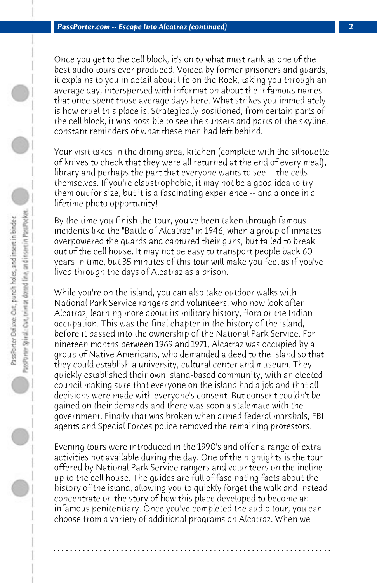Once you get to the cell block, it's on to what must rank as one of the best audio tours ever produced. Voiced by former prisoners and guards, it explains to you in detail about life on the Rock, taking you through an average day, interspersed with information about the infamous names that once spent those average days here. What strikes you immediately is how cruel this place is. Strategically positioned, from certain parts of the cell block, it was possible to see the sunsets and parts of the skyline, constant reminders of what these men had left behind.

Your visit takes in the dining area, kitchen (complete with the silhouette of knives to check that they were all returned at the end of every meal), library and perhaps the part that everyone wants to see -- the cells themselves. If you're claustrophobic, it may not be a good idea to try them out for size, but it is a fascinating experience -- and a once in a lifetime photo opportunity!

By the time you finish the tour, you've been taken through famous incidents like the "Battle of Alcatraz" in 1946, when a group of inmates overpowered the guards and captured their guns, but failed to break out of the cell house. It may not be easy to transport people back 60 years in time, but 35 minutes of this tour will make you feel as if you've lived through the days of Alcatraz as a prison.

While you're on the island, you can also take outdoor walks with National Park Service rangers and volunteers, who now look after Alcatraz, learning more about its military history, flora or the Indian occupation. This was the final chapter in the history of the island, before it passed into the ownership of the National Park Service. For nineteen months between 1969 and 1971, Alcatraz was occupied by a group of Native Americans, who demanded a deed to the island so that they could establish a university, cultural center and museum. They quickly established their own island-based community, with an elected council making sure that everyone on the island had a job and that all decisions were made with everyone's consent. But consent couldn't be gained on their demands and there was soon a stalemate with the government. Finally that was broken when armed federal marshals, FBI agents and Special Forces police removed the remaining protestors.

Evening tours were introduced in the 1990's and offer a range of extra activities not available during the day. One of the highlights is the tour offered by National Park Service rangers and volunteers on the incline up to the cell house. The guides are full of fascinating facts about the history of the island, allowing you to quickly forget the walk and instead concentrate on the story of how this place developed to become an infamous penitentiary. Once you've completed the audio tour, you can choose from a variety of additional programs on Alcatraz. When we

**. . . . . . . . . . . . . . . . . . . . . . . . . . . . . . . . . . . . . . . . . . . . . . . . . . . . . . . . . . . . . . . . . .**